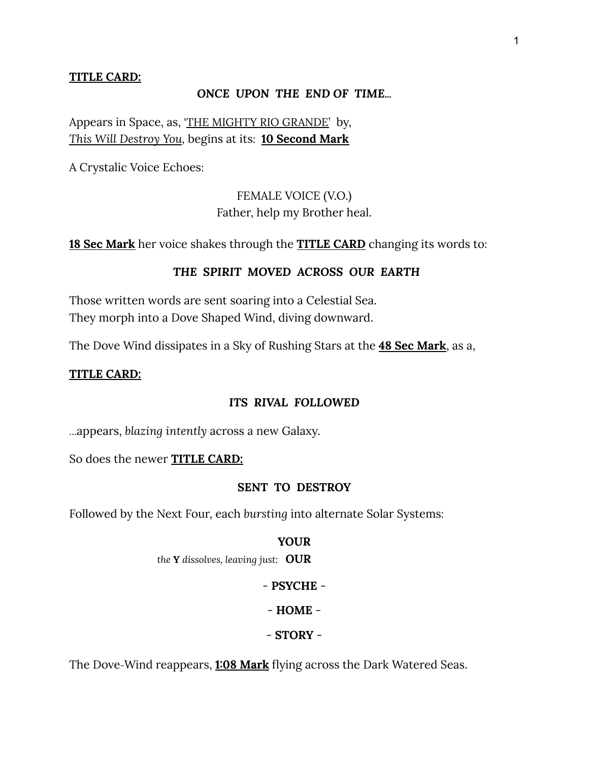### **TITLE CARD:**

#### *ONCE UPON THE END OF TIME...*

Appears in Space, as, 'THE MIGHTY RIO GRANDE' by, *This Will Destroy You,* begins at its: **10 Second Mark**

A Crystalic Voice Echoes:

FEMALE VOICE (V.O.) Father, help my Brother heal.

**18 Sec Mark** her voice shakes through the **TITLE CARD** changing its words to:

### *THE SPIRIT MOVED ACROSS OUR EARTH*

Those written words are sent soaring into a Celestial Sea. They morph into a Dove Shaped Wind, diving downward.

The Dove Wind dissipates in a Sky of Rushing Stars at the **48 Sec Mark**, as a,

### **TITLE CARD:**

### *ITS RIVAL FOLLOWED*

…appears, *blazing intently* across a new Galaxy.

So does the newer **TITLE CARD:**

### **SENT TO DESTROY**

Followed by the Next Four, each *bursting* into alternate Solar Systems:

#### **YOUR**

*the* **Y** *dissolves, leaving just:* **OUR**

### - **PSYCHE** -

- **HOME** -

### - **STORY** -

The Dove-Wind reappears, **1:08 Mark** flying across the Dark Watered Seas.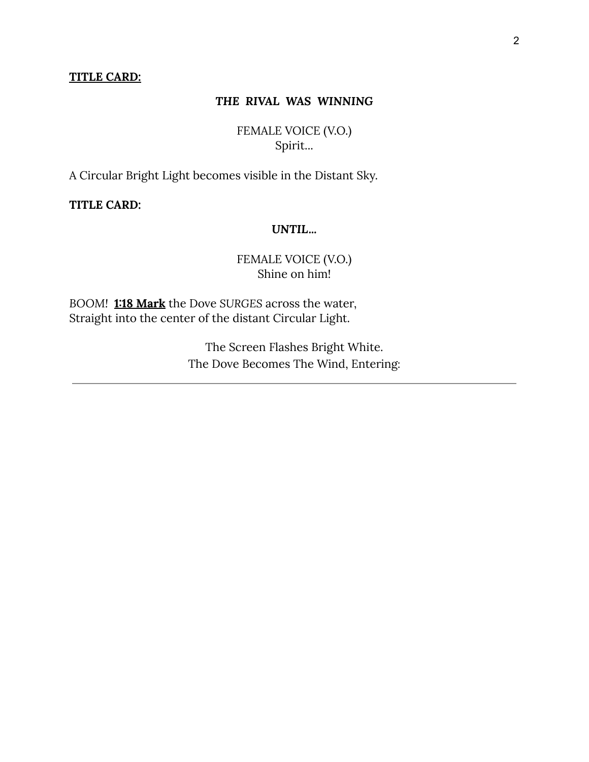#### **TITLE CARD:**

### *THE RIVAL WAS WINNING*

FEMALE VOICE (V.O.) Spirit...

A Circular Bright Light becomes visible in the Distant Sky.

**TITLE CARD:**

### *UNTIL...*

## FEMALE VOICE (V.O.) Shine on him!

*BOOM!* **1:18 Mark** the Dove *SURGES* across the water, Straight into the center of the distant Circular Light.

> The Screen Flashes Bright White. The Dove Becomes The Wind, Entering: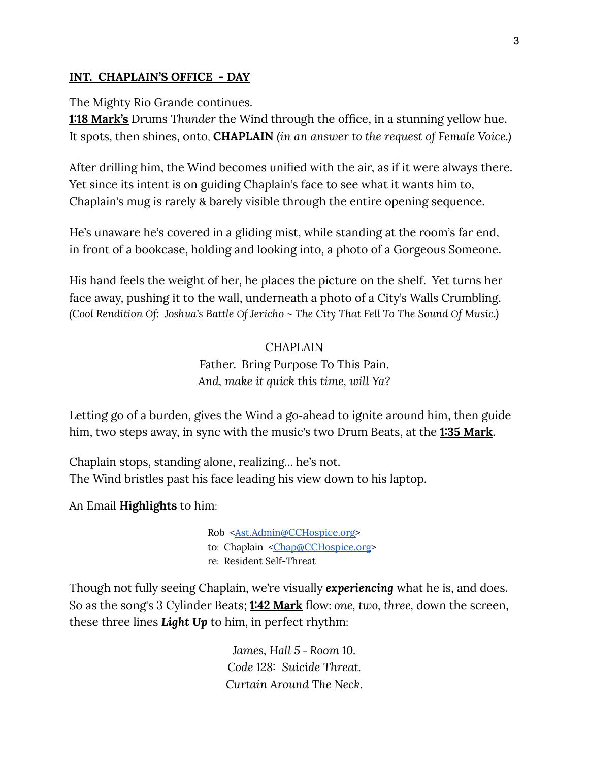## **INT. CHAPLAIN'S OFFICE - DAY**

The Mighty Rio Grande continues.

**1:18 Mark's** Drums *Thunder* the Wind through the office, in a stunning yellow hue. It spots, then shines, onto, **CHAPLAIN** *(in an answer to the request of Female Voice.)*

After drilling him, the Wind becomes unified with the air, as if it were always there. Yet since its intent is on guiding Chaplain's face to see what it wants him to, Chaplain's mug is rarely & barely visible through the entire opening sequence.

He's unaware he's covered in a gliding mist, while standing at the room's far end, in front of a bookcase, holding and looking into, a photo of a Gorgeous Someone.

His hand feels the weight of her, he places the picture on the shelf. Yet turns her face away, pushing it to the wall, underneath a photo of a City's Walls Crumbling. (Cool Rendition Of: Joshua's Battle Of Jericho ~ The City That Fell To The Sound Of Music.)

### **CHAPLAIN**

Father. Bring Purpose To This Pain. *And, make it quick this time, will Ya?*

Letting go of a burden, gives the Wind a go-ahead to ignite around him, then guide him, two steps away, in sync with the music's two Drum Beats, at the **1:35 Mark**.

Chaplain stops, standing alone, realizing… he's not. The Wind bristles past his face leading his view down to his laptop.

An Email **Highlights** to him:

Rob [<Ast.Admin@CCHospice.org>](mailto:Ast.Admin@CCHospice.org) to: Chaplain [<Chap@CCHospice.org](mailto:Chap@CCHospice.org)> re: Resident Self-Threat

Though not fully seeing Chaplain, we're visually *experiencing* what he is, and does. So as the song's 3 Cylinder Beats; **1:42 Mark** flow: *one, two, three,* down the screen, these three lines *Light Up* to him, in perfect rhythm:

> *James, Hall 5 - Room 10. Code 128: Suicide Threat. Curtain Around The Neck.*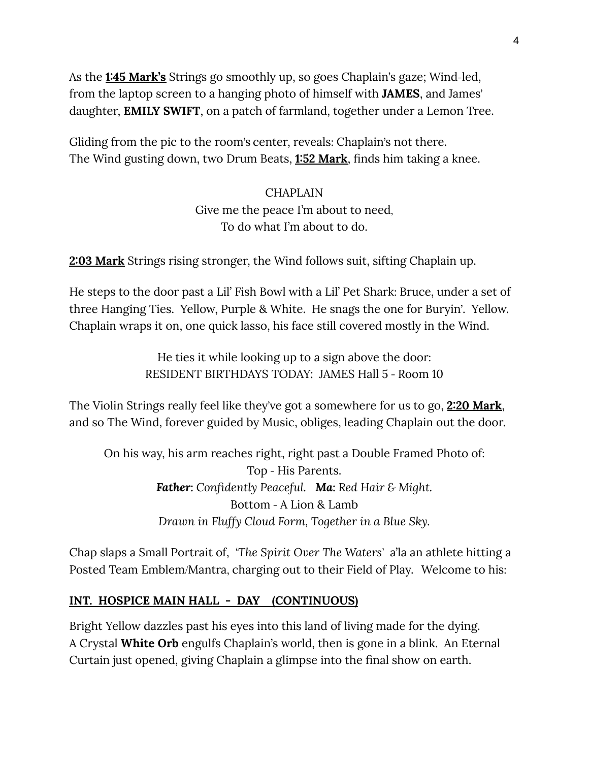As the **1:45 Mark's** Strings go smoothly up, so goes Chaplain's gaze; Wind-led, from the laptop screen to a hanging photo of himself with **JAMES**, and James' daughter, **EMILY SWIFT**, on a patch of farmland, together under a Lemon Tree.

Gliding from the pic to the room's center, reveals: Chaplain's not there. The Wind gusting down, two Drum Beats, **1:52 Mark**, finds him taking a knee.

# CHAPLAIN Give me the peace I'm about to need, To do what I'm about to do.

**2:03 Mark** Strings rising stronger, the Wind follows suit, sifting Chaplain up.

He steps to the door past a Lil' Fish Bowl with a Lil' Pet Shark: Bruce, under a set of three Hanging Ties. Yellow, Purple & White. He snags the one for Buryin'. Yellow. Chaplain wraps it on, one quick lasso, his face still covered mostly in the Wind.

> He ties it while looking up to a sign above the door: RESIDENT BIRTHDAYS TODAY: JAMES Hall 5 - Room 10

The Violin Strings really feel like they've got a somewhere for us to go, **2:20 Mark**, and so The Wind, forever guided by Music, obliges, leading Chaplain out the door.

On his way, his arm reaches right, right past a Double Framed Photo of: Top - His Parents. *Father: Confidently Peaceful. Ma: Red Hair & Might.* Bottom - A Lion & Lamb *Drawn in Fluffy Cloud Form, Together in a Blue Sky.*

Chap slaps a Small Portrait of, *'The Spirit Over The Waters'* a'la an athlete hitting a Posted Team Emblem/Mantra, charging out to their Field of Play. Welcome to his:

# **INT. HOSPICE MAIN HALL - DAY (CONTINUOUS)**

Bright Yellow dazzles past his eyes into this land of living made for the dying. A Crystal **White Orb** engulfs Chaplain's world, then is gone in a blink. An Eternal Curtain just opened, giving Chaplain a glimpse into the final show on earth.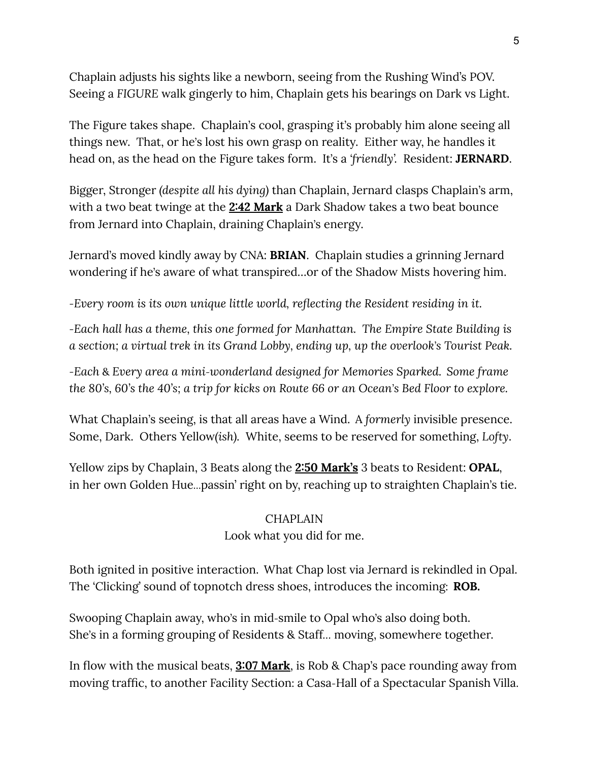Chaplain adjusts his sights like a newborn, seeing from the Rushing Wind's POV. Seeing a *FIGURE* walk gingerly to him, Chaplain gets his bearings on Dark vs Light.

The Figure takes shape. Chaplain's cool, grasping it's probably him alone seeing all things new. That, or he's lost his own grasp on reality. Either way, he handles it head on, as the head on the Figure takes form. It's a *'friendly'.* Resident: **JERNARD**.

Bigger, Stronger *(despite all his dying)* than Chaplain, Jernard clasps Chaplain's arm, with a two beat twinge at the **2:42 Mark** a Dark Shadow takes a two beat bounce from Jernard into Chaplain, draining Chaplain's energy.

Jernard's moved kindly away by CNA: **BRIAN**. Chaplain studies a grinning Jernard wondering if he's aware of what transpired…or of the Shadow Mists hovering him.

*-Every room is its own unique little world, reflecting the Resident residing in it.*

*-Each hall has a theme, this one formed for Manhattan. The Empire State Building is a section; a virtual trek in its Grand Lobby, ending up, up the overlook's Tourist Peak.*

*-Each* & *Every area a mini-wonderland designed for Memories Sparked. Some frame* the 80's, 60's the 40's; a trip for kicks on Route 66 or an Ocean's Bed Floor to explore.

What Chaplain's seeing, is that all areas have a Wind. A *formerly* invisible presence. Some, Dark. Others Yellow*(ish).* White, seems to be reserved for something, *Lofty*.

Yellow zips by Chaplain, 3 Beats along the **2:50 Mark's** 3 beats to Resident: **OPAL**, in her own Golden Hue…passin' right on by, reaching up to straighten Chaplain's tie.

# **CHAPLAIN**

# Look what you did for me.

Both ignited in positive interaction. What Chap lost via Jernard is rekindled in Opal. The 'Clicking' sound of topnotch dress shoes, introduces the incoming: **ROB.**

Swooping Chaplain away, who's in mid-smile to Opal who's also doing both. She's in a forming grouping of Residents & Staff*…* moving, somewhere together.

In flow with the musical beats, **3:07 Mark**, is Rob & Chap's pace rounding away from moving traffic, to another Facility Section: a Casa-Hall of a Spectacular Spanish Villa.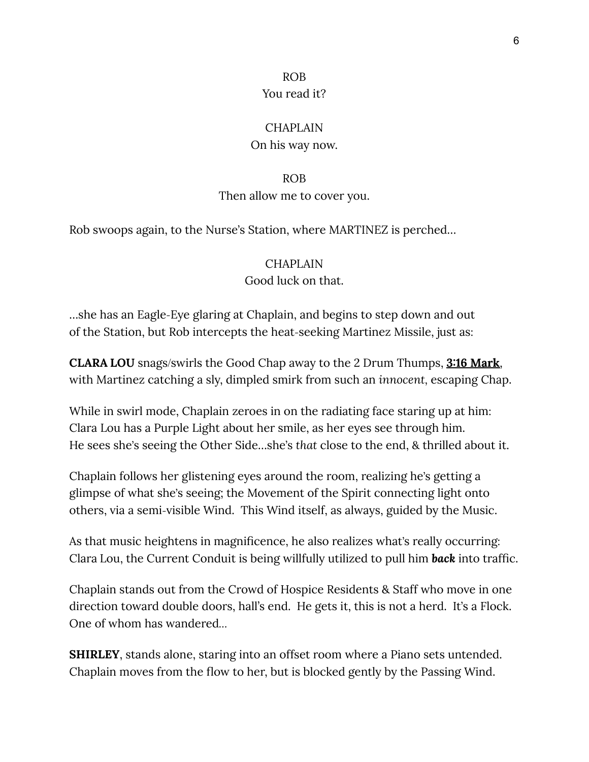#### ROB

### You read it?

## **CHAPLAIN**

### On his way now.

#### ROB

### Then allow me to cover you.

Rob swoops again, to the Nurse's Station, where MARTINEZ is perched…

### CHAPLAIN

### Good luck on that.

…she has an Eagle-Eye glaring at Chaplain, and begins to step down and out of the Station, but Rob intercepts the heat-seeking Martinez Missile, just as:

**CLARA LOU** snags/swirls the Good Chap away to the 2 Drum Thumps, **3:16 Mark**, with Martinez catching a sly, dimpled smirk from such an *innocent,* escaping Chap.

While in swirl mode, Chaplain zeroes in on the radiating face staring up at him: Clara Lou has a Purple Light about her smile, as her eyes see through him. He sees she's seeing the Other Side…she's *that* close to the end, & thrilled about it.

Chaplain follows her glistening eyes around the room, realizing he's getting a glimpse of what she's seeing; the Movement of the Spirit connecting light onto others, via a semi-visible Wind. This Wind itself, as always, guided by the Music.

As that music heightens in magnificence, he also realizes what's really occurring: Clara Lou, the Current Conduit is being willfully utilized to pull him *back* into traffic.

Chaplain stands out from the Crowd of Hospice Residents & Staff who move in one direction toward double doors, hall's end. He gets it, this is not a herd. It's a Flock. One of whom has wandered*…*

**SHIRLEY**, stands alone, staring into an offset room where a Piano sets untended. Chaplain moves from the flow to her, but is blocked gently by the Passing Wind.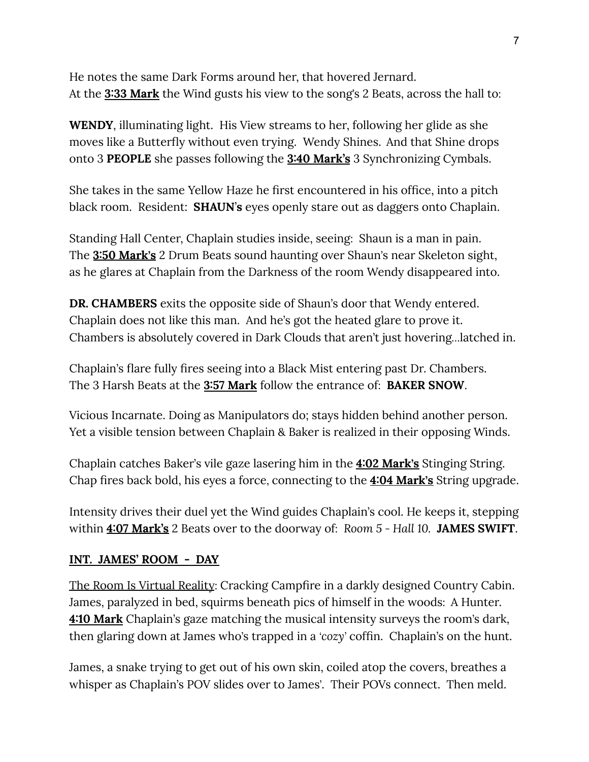He notes the same Dark Forms around her, that hovered Jernard. At the **3:33 Mark** the Wind gusts his view to the song's 2 Beats, across the hall to:

**WENDY**, illuminating light. His View streams to her, following her glide as she moves like a Butterfly without even trying. Wendy Shines. And that Shine drops onto 3 **PEOPLE** she passes following the **3:40 Mark's** 3 Synchronizing Cymbals.

She takes in the same Yellow Haze he first encountered in his office, into a pitch black room. Resident: **SHAUN**'**s** eyes openly stare out as daggers onto Chaplain.

Standing Hall Center, Chaplain studies inside, seeing: Shaun is a man in pain. The **3:50 Mark's** 2 Drum Beats sound haunting over Shaun's near Skeleton sight, as he glares at Chaplain from the Darkness of the room Wendy disappeared into.

**DR. CHAMBERS** exits the opposite side of Shaun's door that Wendy entered. Chaplain does not like this man. And he's got the heated glare to prove it. Chambers is absolutely covered in Dark Clouds that aren't just hovering*…*latched in.

Chaplain's flare fully fires seeing into a Black Mist entering past Dr. Chambers. The 3 Harsh Beats at the **3:57 Mark** follow the entrance of: **BAKER SNOW**.

Vicious Incarnate. Doing as Manipulators do; stays hidden behind another person. Yet a visible tension between Chaplain & Baker is realized in their opposing Winds.

Chaplain catches Baker's vile gaze lasering him in the **4:02 Mark's** Stinging String. Chap fires back bold, his eyes a force, connecting to the **4:04 Mark's** String upgrade.

Intensity drives their duel yet the Wind guides Chaplain's cool. He keeps it, stepping within **4:07 Mark's** 2 Beats over to the doorway of: *Room 5 - Hall 10.* **JAMES SWIFT**.

## **INT. JAMES' ROOM - DAY**

The Room Is Virtual Reality: Cracking Campfire in a darkly designed Country Cabin. James, paralyzed in bed, squirms beneath pics of himself in the woods: A Hunter. **4:10 Mark** Chaplain's gaze matching the musical intensity surveys the room's dark, then glaring down at James who's trapped in a *'cozy'* coffin. Chaplain's on the hunt.

James, a snake trying to get out of his own skin, coiled atop the covers, breathes a whisper as Chaplain's POV slides over to James'. Their POVs connect. Then meld.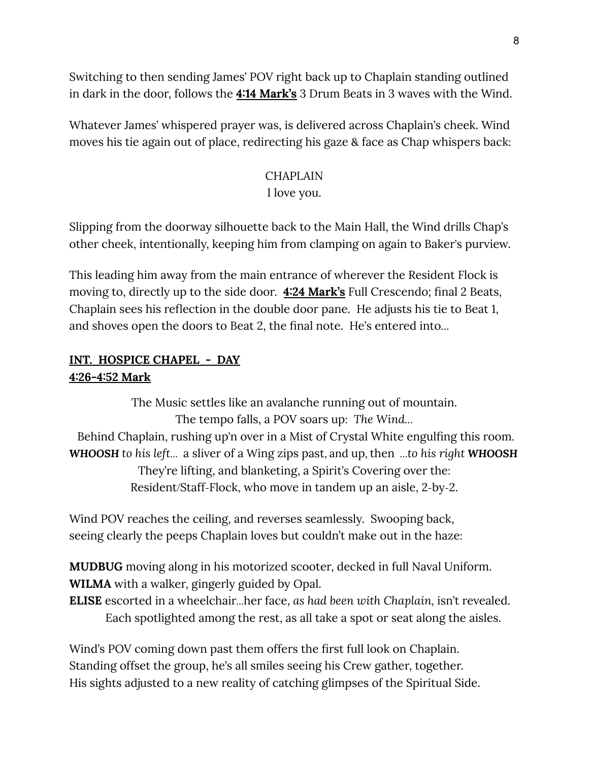Switching to then sending James' POV right back up to Chaplain standing outlined in dark in the door, follows the **4:14 Mark's** 3 Drum Beats in 3 waves with the Wind.

Whatever James' whispered prayer was, is delivered across Chaplain's cheek. Wind moves his tie again out of place, redirecting his gaze & face as Chap whispers back:

# **CHAPLAIN** I love you.

Slipping from the doorway silhouette back to the Main Hall, the Wind drills Chap's other cheek, intentionally, keeping him from clamping on again to Baker's purview.

This leading him away from the main entrance of wherever the Resident Flock is moving to, directly up to the side door. **4:24 Mark's** Full Crescendo; final 2 Beats, Chaplain sees his reflection in the double door pane. He adjusts his tie to Beat 1, and shoves open the doors to Beat 2, the final note. He's entered into*…*

# **INT. HOSPICE CHAPEL - DAY 4:26-4:52 Mark**

The Music settles like an avalanche running out of mountain. The tempo falls, a POV soars up: *The Wind…* Behind Chaplain, rushing up'n over in a Mist of Crystal White engulfing this room. *WHOOSH to his left…* a sliver of a Wing zips past, and up, then *…to his right WHOOSH* They're lifting, and blanketing, a Spirit's Covering over the: Resident/Staff-Flock, who move in tandem up an aisle, 2-by-2.

Wind POV reaches the ceiling, and reverses seamlessly. Swooping back, seeing clearly the peeps Chaplain loves but couldn't make out in the haze:

**MUDBUG** moving along in his motorized scooter, decked in full Naval Uniform. **WILMA** with a walker, gingerly guided by Opal.

**ELISE** escorted in a wheelchair*…*her face, *as had been with Chaplain,* isn't revealed. Each spotlighted among the rest, as all take a spot or seat along the aisles.

Wind's POV coming down past them offers the first full look on Chaplain. Standing offset the group, he's all smiles seeing his Crew gather, together. His sights adjusted to a new reality of catching glimpses of the Spiritual Side.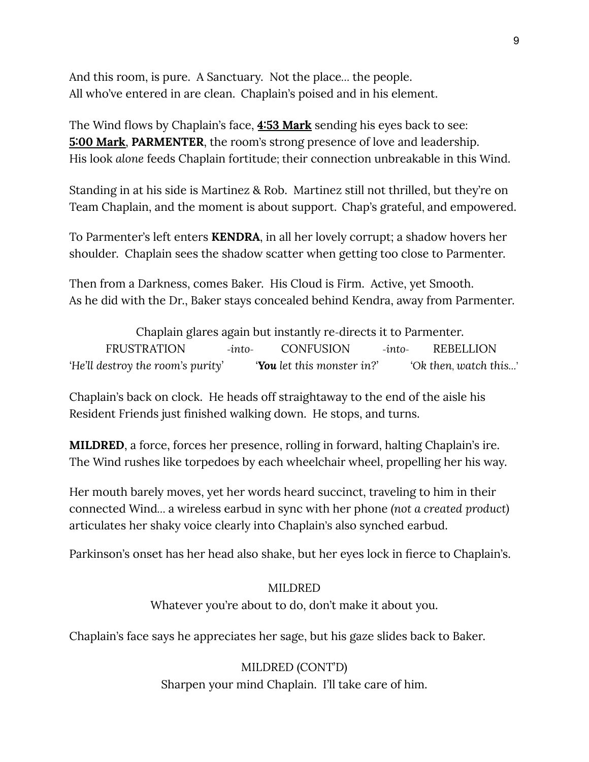And this room, is pure. A Sanctuary. Not the place*…* the people. All who've entered in are clean. Chaplain's poised and in his element.

The Wind flows by Chaplain's face, **4:53 Mark** sending his eyes back to see: **5:00 Mark**, **PARMENTER**, the room's strong presence of love and leadership. His look *alone* feeds Chaplain fortitude; their connection unbreakable in this Wind.

Standing in at his side is Martinez & Rob. Martinez still not thrilled, but they're on Team Chaplain, and the moment is about support. Chap's grateful, and empowered.

To Parmenter's left enters **KENDRA**, in all her lovely corrupt; a shadow hovers her shoulder. Chaplain sees the shadow scatter when getting too close to Parmenter.

Then from a Darkness, comes Baker. His Cloud is Firm. Active, yet Smooth. As he did with the Dr., Baker stays concealed behind Kendra, away from Parmenter.

Chaplain glares again but instantly re-directs it to Parmenter. FRUSTRATION -*into-* CONFUSION -*into-* REBELLION 'He'll destroy the room's purity' **You** let this monster in?' Cole then, watch this...'

Chaplain's back on clock. He heads off straightaway to the end of the aisle his Resident Friends just finished walking down. He stops, and turns.

**MILDRED**, a force, forces her presence, rolling in forward, halting Chaplain's ire. The Wind rushes like torpedoes by each wheelchair wheel, propelling her his way.

Her mouth barely moves, yet her words heard succinct, traveling to him in their connected Wind*…* a wireless earbud in sync with her phone *(not a created product)* articulates her shaky voice clearly into Chaplain's also synched earbud.

Parkinson's onset has her head also shake, but her eyes lock in fierce to Chaplain's.

MILDRED Whatever you're about to do, don't make it about you.

Chaplain's face says he appreciates her sage, but his gaze slides back to Baker.

MILDRED (CONT'D) Sharpen your mind Chaplain. I'll take care of him.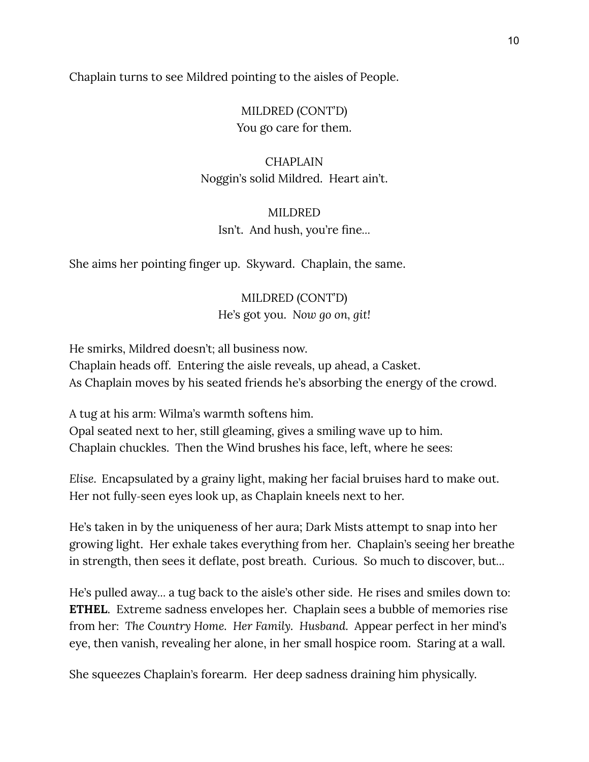Chaplain turns to see Mildred pointing to the aisles of People.

MILDRED (CONT'D) You go care for them.

# **CHAPLAIN** Noggin's solid Mildred. Heart ain't.

# MILDRED Isn't. And hush, you're fine*…*

She aims her pointing finger up. Skyward. Chaplain, the same.

## MILDRED (CONT'D)

He's got you. *Now go on, git!*

He smirks, Mildred doesn't; all business now. Chaplain heads off. Entering the aisle reveals, up ahead, a Casket. As Chaplain moves by his seated friends he's absorbing the energy of the crowd.

A tug at his arm: Wilma's warmth softens him. Opal seated next to her, still gleaming, gives a smiling wave up to him. Chaplain chuckles. Then the Wind brushes his face, left, where he sees:

*Elise.* Encapsulated by a grainy light, making her facial bruises hard to make out. Her not fully-seen eyes look up, as Chaplain kneels next to her.

He's taken in by the uniqueness of her aura; Dark Mists attempt to snap into her growing light. Her exhale takes everything from her. Chaplain's seeing her breathe in strength, then sees it deflate, post breath. Curious. So much to discover, but*…*

He's pulled away*…* a tug back to the aisle's other side. He rises and smiles down to: **ETHEL**. Extreme sadness envelopes her. Chaplain sees a bubble of memories rise from her: *The Country Home. Her Family. Husband.* Appear perfect in her mind's eye, then vanish, revealing her alone, in her small hospice room. Staring at a wall.

She squeezes Chaplain's forearm. Her deep sadness draining him physically.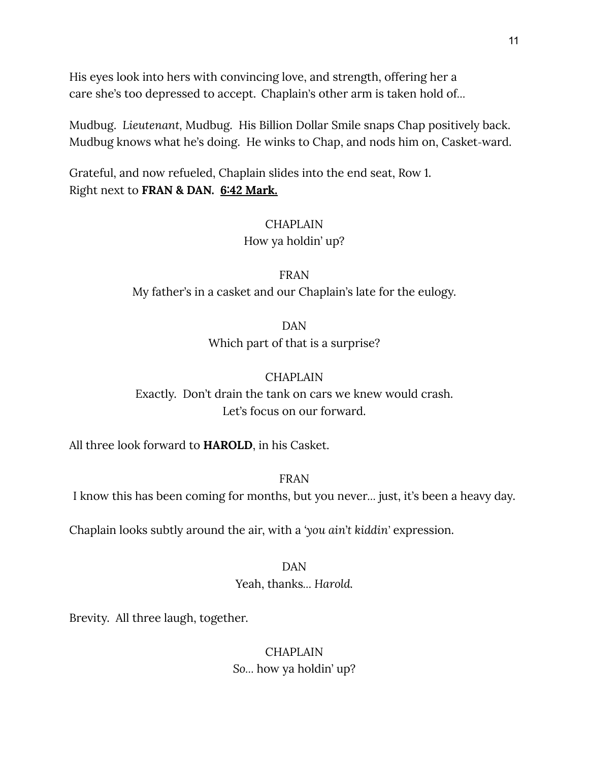His eyes look into hers with convincing love, and strength, offering her a care she's too depressed to accept. Chaplain's other arm is taken hold of*…*

Mudbug. *Lieutenant,* Mudbug. His Billion Dollar Smile snaps Chap positively back. Mudbug knows what he's doing. He winks to Chap, and nods him on, Casket-ward.

Grateful, and now refueled, Chaplain slides into the end seat, Row 1. Right next to **FRAN & DAN. 6:42 Mark.**

## CHAPLAIN

How ya holdin' up?

## FRAN

My father's in a casket and our Chaplain's late for the eulogy.

DAN

Which part of that is a surprise?

## **CHAPLAIN**

Exactly. Don't drain the tank on cars we knew would crash. Let's focus on our forward.

All three look forward to **HAROLD**, in his Casket.

FRAN

I know this has been coming for months, but you never*…* just, it's been a heavy day.

Chaplain looks subtly around the air, with a *'you ain*'*t kiddin'* expression.

## DAN

Yeah, thanks*… Harold.*

Brevity. All three laugh, together.

**CHAPLAIN** *So…* how ya holdin' up?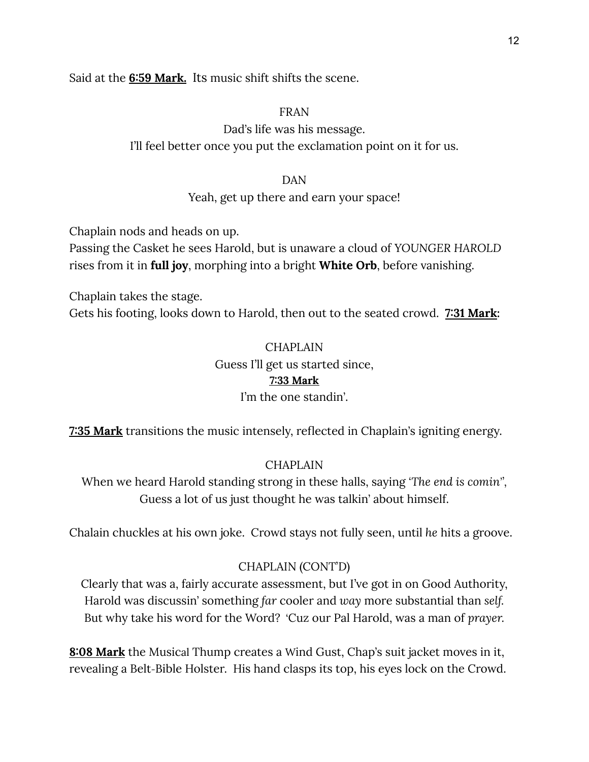Said at the **6:59 Mark.** Its music shift shifts the scene.

### FRAN

Dad's life was his message. I'll feel better once you put the exclamation point on it for us.

### DAN

## Yeah, get up there and earn your space!

Chaplain nods and heads on up.

Passing the Casket he sees Harold, but is unaware a cloud of *YOUNGER HAROLD* rises from it in **full joy**, morphing into a bright **White Orb**, before vanishing.

Chaplain takes the stage.

Gets his footing, looks down to Harold, then out to the seated crowd. **7:31 Mark:**

# CHAPLAIN Guess I'll get us started since, **7:33 Mark** I'm the one standin'.

**7:35 Mark** transitions the music intensely, reflected in Chaplain's igniting energy.

## CHAPLAIN

When we heard Harold standing strong in these halls, saying *'The end is comin'',* Guess a lot of us just thought he was talkin' about himself.

Chalain chuckles at his own joke. Crowd stays not fully seen, until *he* hits a groove.

## CHAPLAIN (CONT'D)

Clearly that was a, fairly accurate assessment, but I've got in on Good Authority, Harold was discussin' something *far* cooler and *way* more substantial than *self.* But why take his word for the Word? 'Cuz our Pal Harold, was a man of *prayer.*

**8:08 Mark** the Musical Thump creates a Wind Gust, Chap's suit jacket moves in it, revealing a Belt-Bible Holster. His hand clasps its top, his eyes lock on the Crowd.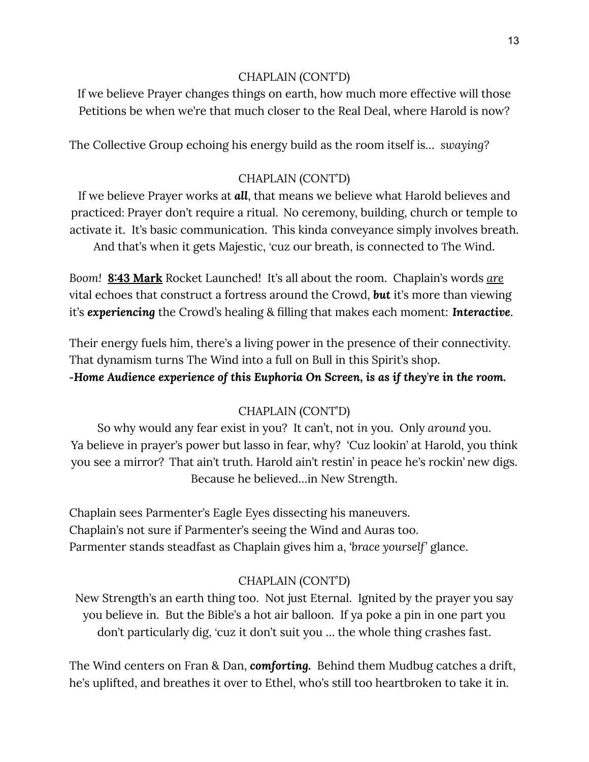## CHAPLAIN (CONT'D)

If we believe Prayer changes things on earth, how much more effective will those Petitions be when we're that much closer to the Real Deal, where Harold is now?

The Collective Group echoing his energy build as the room itself is… *swaying?*

## CHAPLAIN (CONT'D)

If we believe Prayer works at *all*, that means we believe what Harold believes and practiced: Prayer don't require a ritual. No ceremony, building, church or temple to activate it. It's basic communication. This kinda conveyance simply involves breath. And that's when it gets Majestic, *'*cuz our breath, is connected to The Wind.

*Boom!* **8:43 Mark** Rocket Launched! It's all about the room. Chaplain's words *are* vital echoes that construct a fortress around the Crowd, *but* it's more than viewing it's *experiencing* the Crowd's healing & filling that makes each moment: *Interactive*.

Their energy fuels him, there's a living power in the presence of their connectivity. That dynamism turns The Wind into a full on Bull in this Spirit's shop.

*-Home Audience experience of this Euphoria On Screen, is as if they*'*re in the room.*

## CHAPLAIN (CONT'D)

So why would any fear exist in you? It can't, not *in* you. Only *around* you. Ya believe in prayer's power but lasso in fear, why? 'Cuz lookin' at Harold, you think you see a mirror? That ain't truth. Harold ain't restin' in peace he's rockin' new digs. Because he believed…in New Strength.

Chaplain sees Parmenter's Eagle Eyes dissecting his maneuvers. Chaplain's not sure if Parmenter's seeing the Wind and Auras too. Parmenter stands steadfast as Chaplain gives him a, *'brace yourself'* glance.

## CHAPLAIN (CONT'D)

New Strength's an earth thing too. Not just Eternal. Ignited by the prayer you say you believe in. But the Bible's a hot air balloon. If ya poke a pin in one part you don't particularly dig, *'*cuz it don't suit you … the whole thing crashes fast.

The Wind centers on Fran & Dan, *comforting.* Behind them Mudbug catches a drift, he's uplifted, and breathes it over to Ethel, who's still too heartbroken to take it in.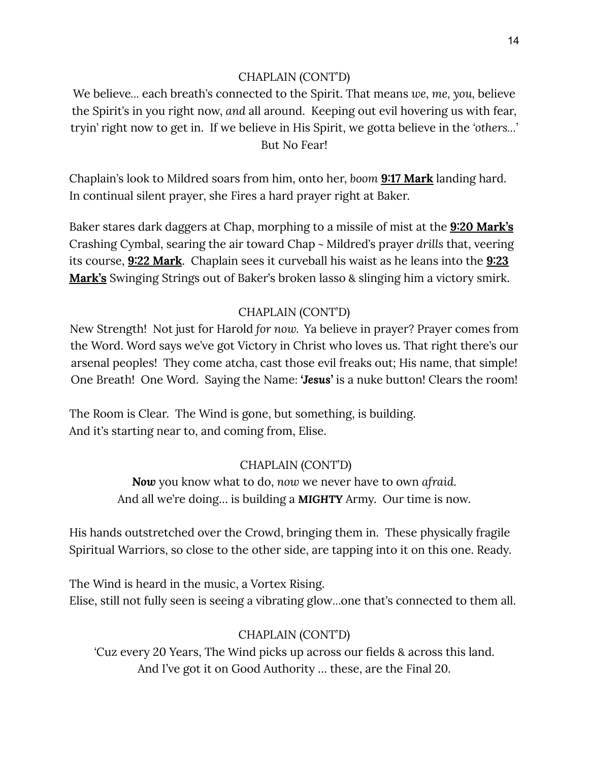## CHAPLAIN (CONT'D)

We believe*…* each breath's connected to the Spirit. That means *we, me, you,* believe the Spirit's in you right now, *and* all around. Keeping out evil hovering us with fear, tryin' right now to get in. If we believe in His Spirit, we gotta believe in the *'others…'* But No Fear!

Chaplain's look to Mildred soars from him, onto her, *boom* **9:17 Mark** landing hard. In continual silent prayer, she Fires a hard prayer right at Baker.

Baker stares dark daggers at Chap, morphing to a missile of mist at the **9:20 Mark's** Crashing Cymbal, searing the air toward Chap ~ Mildred's prayer *drills* that, veering its course, **9:22 Mark**. Chaplain sees it curveball his waist as he leans into the **9:23 Mark's** Swinging Strings out of Baker's broken lasso & slinging him a victory smirk.

# CHAPLAIN (CONT'D)

New Strength! Not just for Harold *for now.* Ya believe in prayer? Prayer comes from the Word. Word says we've got Victory in Christ who loves us. That right there's our arsenal peoples! They come atcha, cast those evil freaks out; His name, that simple! One Breath! One Word. Saying the Name: *'Jesus'* is a nuke button! Clears the room!

The Room is Clear. The Wind is gone, but something, is building. And it's starting near to, and coming from, Elise.

# CHAPLAIN (CONT'D)

*Now* you know what to do, *now* we never have to own *afraid*. And all we're doing… is building a *MIGHTY* Army. Our time is now.

His hands outstretched over the Crowd, bringing them in. These physically fragile Spiritual Warriors, so close to the other side, are tapping into it on this one. Ready.

The Wind is heard in the music, a Vortex Rising. Elise, still not fully seen is seeing a vibrating glow…one that's connected to them all.

# CHAPLAIN (CONT'D)

*'*Cuz every 20 Years, The Wind picks up across our fields & across this land. And I've got it on Good Authority … these, are the Final 20.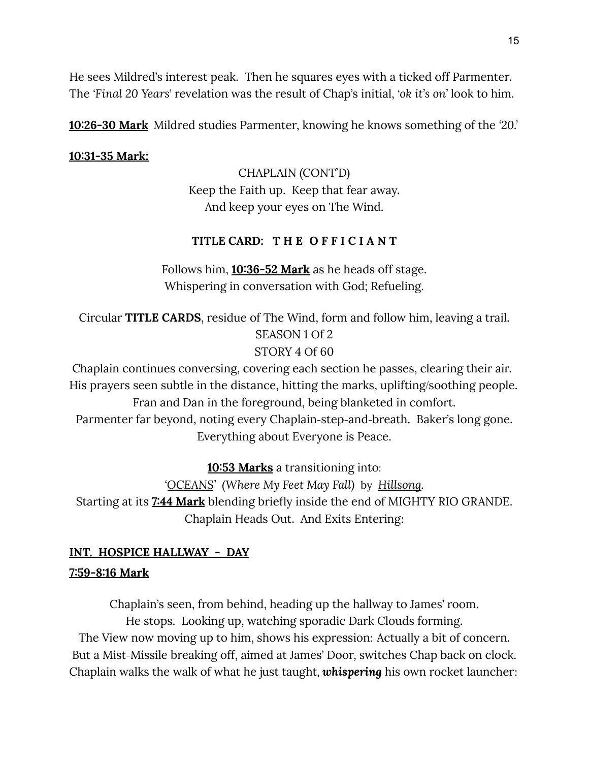He sees Mildred's interest peak. Then he squares eyes with a ticked off Parmenter. The *'Final 20 Years*' revelation was the result of Chap's initial, *'ok it's on'* look to him.

**10:26-30 Mark** Mildred studies Parmenter, knowing he knows something of the *'20.'*

# **10:31-35 Mark:**

CHAPLAIN (CONT'D) Keep the Faith up. Keep that fear away. And keep your eyes on The Wind.

# **TITLE CARD: T H E O F F I C I A N T**

Follows him, **10:36-52 Mark** as he heads off stage. Whispering in conversation with God; Refueling.

Circular **TITLE CARDS**, residue of The Wind, form and follow him, leaving a trail. SEASON 1 Of 2 STORY 4 Of 60

Chaplain continues conversing, covering each section he passes, clearing their air. His prayers seen subtle in the distance, hitting the marks, uplifting/soothing people. Fran and Dan in the foreground, being blanketed in comfort. Parmenter far beyond, noting every Chaplain-step-and-breath. Baker's long gone. Everything about Everyone is Peace.

**10:53 Marks** a transitioning into:

*'OCEANS' (Where My Feet May Fall)* by *Hillsong.* Starting at its **7:44 Mark** blending briefly inside the end of MIGHTY RIO GRANDE. Chaplain Heads Out. And Exits Entering:

# **INT. HOSPICE HALLWAY - DAY 7:59-8:16 Mark**

Chaplain's seen, from behind, heading up the hallway to James' room. He stops. Looking up, watching sporadic Dark Clouds forming. The View now moving up to him, shows his expression: Actually a bit of concern. But a Mist-Missile breaking off, aimed at James' Door, switches Chap back on clock. Chaplain walks the walk of what he just taught, *whispering* his own rocket launcher: